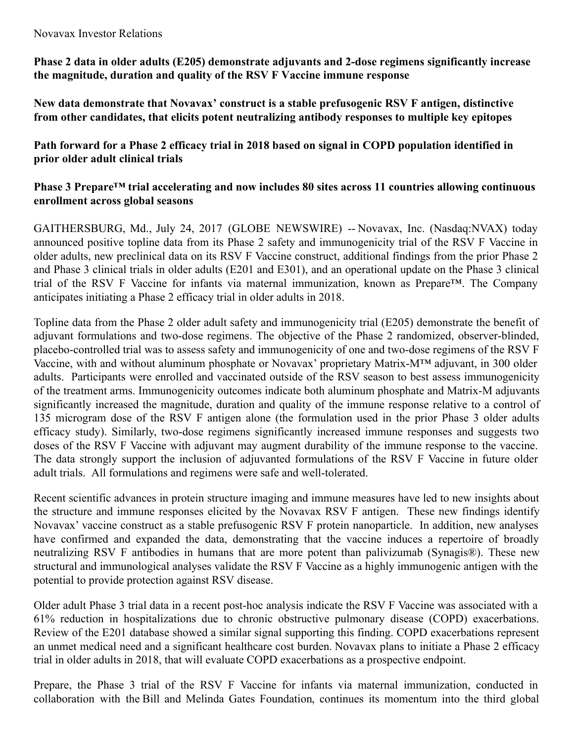#### Novavax Investor Relations

**Phase 2 data in older adults (E205) demonstrate adjuvants and 2-dose regimens significantly increase the magnitude, duration and quality of the RSV F Vaccine immune response**

**New data demonstrate that Novavax' construct is a stable prefusogenic RSV F antigen, distinctive from other candidates, that elicits potent neutralizing antibody responses to multiple key epitopes**

**Path forward for a Phase 2 efficacy trial in 2018 based on signal in COPD population identified in prior older adult clinical trials**

# **Phase 3 Prepare™ trial accelerating and now includes 80 sites across 11 countries allowing continuous enrollment across global seasons**

GAITHERSBURG, Md., July 24, 2017 (GLOBE NEWSWIRE) -- Novavax, Inc. (Nasdaq:NVAX) today announced positive topline data from its Phase 2 safety and immunogenicity trial of the RSV F Vaccine in older adults, new preclinical data on its RSV F Vaccine construct, additional findings from the prior Phase 2 and Phase 3 clinical trials in older adults (E201 and E301), and an operational update on the Phase 3 clinical trial of the RSV F Vaccine for infants via maternal immunization, known as Prepare™. The Company anticipates initiating a Phase 2 efficacy trial in older adults in 2018.

Topline data from the Phase 2 older adult safety and immunogenicity trial (E205) demonstrate the benefit of adjuvant formulations and two-dose regimens. The objective of the Phase 2 randomized, observer-blinded, placebo-controlled trial was to assess safety and immunogenicity of one and two-dose regimens of the RSV F Vaccine, with and without aluminum phosphate or Novavax' proprietary Matrix-M™ adjuvant, in 300 older adults. Participants were enrolled and vaccinated outside of the RSV season to best assess immunogenicity of the treatment arms. Immunogenicity outcomes indicate both aluminum phosphate and Matrix-M adjuvants significantly increased the magnitude, duration and quality of the immune response relative to a control of 135 microgram dose of the RSV F antigen alone (the formulation used in the prior Phase 3 older adults efficacy study). Similarly, two-dose regimens significantly increased immune responses and suggests two doses of the RSV F Vaccine with adjuvant may augment durability of the immune response to the vaccine. The data strongly support the inclusion of adjuvanted formulations of the RSV F Vaccine in future older adult trials. All formulations and regimens were safe and well-tolerated.

Recent scientific advances in protein structure imaging and immune measures have led to new insights about the structure and immune responses elicited by the Novavax RSV F antigen. These new findings identify Novavax' vaccine construct as a stable prefusogenic RSV F protein nanoparticle. In addition, new analyses have confirmed and expanded the data, demonstrating that the vaccine induces a repertoire of broadly neutralizing RSV F antibodies in humans that are more potent than palivizumab (Synagis®). These new structural and immunological analyses validate the RSV F Vaccine as a highly immunogenic antigen with the potential to provide protection against RSV disease.

Older adult Phase 3 trial data in a recent post-hoc analysis indicate the RSV F Vaccine was associated with a 61% reduction in hospitalizations due to chronic obstructive pulmonary disease (COPD) exacerbations. Review of the E201 database showed a similar signal supporting this finding. COPD exacerbations represent an unmet medical need and a significant healthcare cost burden. Novavax plans to initiate a Phase 2 efficacy trial in older adults in 2018, that will evaluate COPD exacerbations as a prospective endpoint.

Prepare, the Phase 3 trial of the RSV F Vaccine for infants via maternal immunization, conducted in collaboration with the Bill and Melinda Gates Foundation, continues its momentum into the third global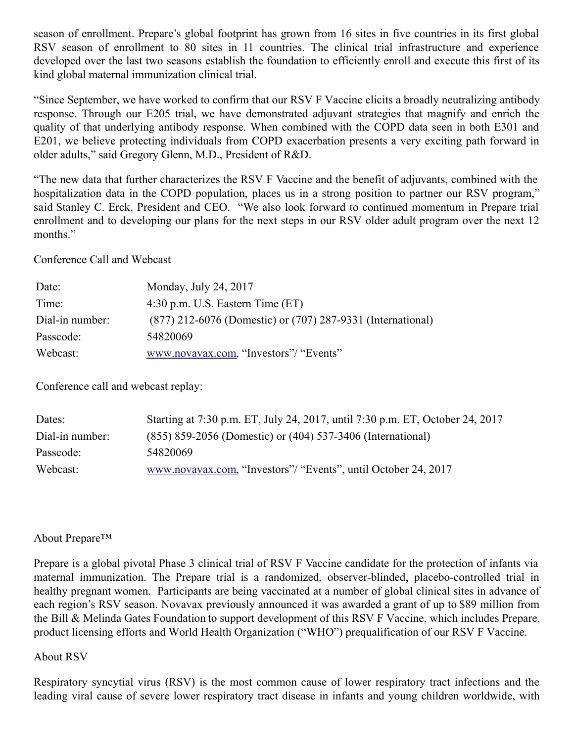season of enrollment. Prepare's global footprint has grown from 16 sites in five countries in its first global RSV season of enrollment to 80 sites in 11 countries. The clinical trial infrastructure and experience developed over the last two seasons establish the foundation to efficiently enroll and execute this first of its kind global maternal immunization clinical trial.

"Since September, we have worked to confirm that our RSV F Vaccine elicits a broadly neutralizing antibody response. Through our E205 trial, we have demonstrated adjuvant strategies that magnify and enrich the quality of that underlying antibody response. When combined with the COPD data seen in both E301 and E201, we believe protecting individuals from COPD exacerbation presents a very exciting path forward in older adults," said Gregory Glenn, M.D., President of R&D.

"The new data that further characterizes the RSV F Vaccine and the benefit of adjuvants, combined with the hospitalization data in the COPD population, places us in a strong position to partner our RSV program," said Stanley C. Erck, President and CEO. "We also look forward to continued momentum in Prepare trial enrollment and to developing our plans for the next steps in our RSV older adult program over the next 12 months."

Conference Call and Webcast

| Date:           | Monday, July 24, 2017                                       |
|-----------------|-------------------------------------------------------------|
| Time:           | $4:30$ p.m. U.S. Eastern Time (ET)                          |
| Dial-in number: | (877) 212-6076 (Domestic) or (707) 287-9331 (International) |
| Passcode:       | 54820069                                                    |
| Webcast:        | www.novavax.com, "Investors"/ "Events"                      |

Conference call and webcast replay:

| Dates:          | Starting at 7:30 p.m. ET, July 24, 2017, until 7:30 p.m. ET, October 24, 2017 |
|-----------------|-------------------------------------------------------------------------------|
| Dial-in number: | (855) 859-2056 (Domestic) or (404) 537-3406 (International)                   |
| Passcode:       | 54820069                                                                      |
| Webcast:        | www.novavax.com, "Investors"/ "Events", until October 24, 2017                |

### About Prepare™

Prepare is a global pivotal Phase 3 clinical trial of RSV F Vaccine candidate for the protection of infants via maternal immunization. The Prepare trial is a randomized, observer-blinded, placebo-controlled trial in healthy pregnant women. Participants are being vaccinated at a number of global clinical sites in advance of each region's RSV season. Novavax previously announced it was awarded a grant of up to \$89 million from the Bill & Melinda Gates Foundation to support development of this RSV F Vaccine, which includes Prepare, product licensing efforts and World Health Organization ("WHO") prequalification of our RSV F Vaccine.

### About RSV

Respiratory syncytial virus (RSV) is the most common cause of lower respiratory tract infections and the leading viral cause of severe lower respiratory tract disease in infants and young children worldwide, with